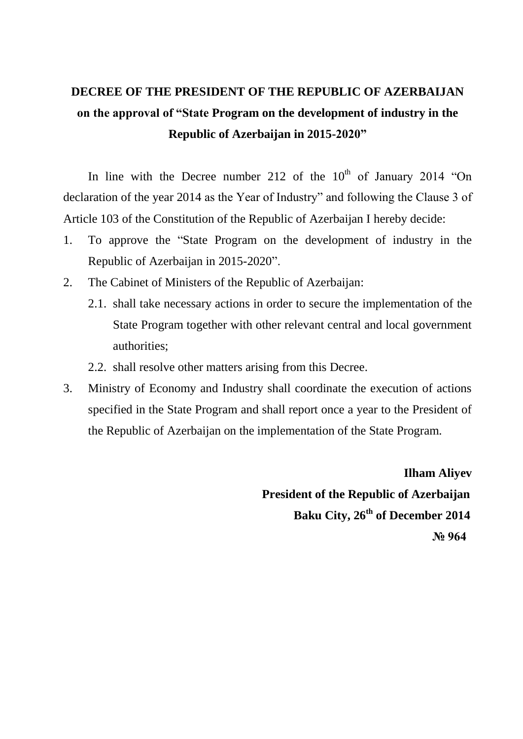# **DECREE OF THE PRESIDENT OF THE REPUBLIC OF AZERBAIJAN on the approval of "State Program on the development of industry in the Republic of Azerbaijan in 2015-2020"**

In line with the Decree number 212 of the  $10<sup>th</sup>$  of January 2014 "On declaration of the year 2014 as the Year of Industry" and following the Clause 3 of Article 103 of the Constitution of the Republic of Azerbaijan I hereby decide:

- 1. To approve the "State Program on the development of industry in the Republic of Azerbaijan in 2015-2020".
- 2. The Cabinet of Ministers of the Republic of Azerbaijan:
	- 2.1. shall take necessary actions in order to secure the implementation of the State Program together with other relevant central and local government authorities;
	- 2.2. shall resolve other matters arising from this Decree.
- 3. Ministry of Economy and Industry shall coordinate the execution of actions specified in the State Program and shall report once a year to the President of the Republic of Azerbaijan on the implementation of the State Program.

 **Ilham Aliyev President of the Republic of Azerbaijan Baku City, 26th of December 2014 № 964**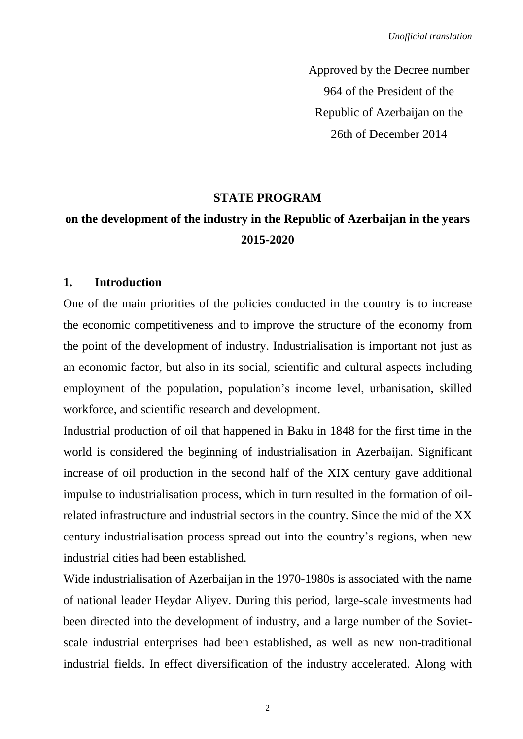Approved by the Decree number 964 of the President of the Republic of Azerbaijan on the 26th of December 2014

#### **STATE PROGRAM**

## **on the development of the industry in the Republic of Azerbaijan in the years 2015-2020**

#### **1. Introduction**

One of the main priorities of the policies conducted in the country is to increase the economic competitiveness and to improve the structure of the economy from the point of the development of industry. Industrialisation is important not just as an economic factor, but also in its social, scientific and cultural aspects including employment of the population, population's income level, urbanisation, skilled workforce, and scientific research and development.

Industrial production of oil that happened in Baku in 1848 for the first time in the world is considered the beginning of industrialisation in Azerbaijan. Significant increase of oil production in the second half of the XIX century gave additional impulse to industrialisation process, which in turn resulted in the formation of oilrelated infrastructure and industrial sectors in the country. Since the mid of the XX century industrialisation process spread out into the country's regions, when new industrial cities had been established.

Wide industrialisation of Azerbaijan in the 1970-1980s is associated with the name of national leader Heydar Aliyev. During this period, large-scale investments had been directed into the development of industry, and a large number of the Sovietscale industrial enterprises had been established, as well as new non-traditional industrial fields. In effect diversification of the industry accelerated. Along with

 $\overline{2}$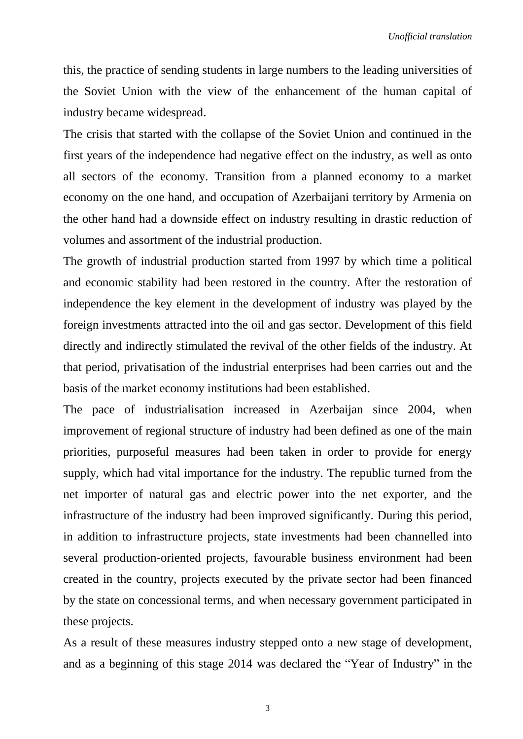this, the practice of sending students in large numbers to the leading universities of the Soviet Union with the view of the enhancement of the human capital of industry became widespread.

The crisis that started with the collapse of the Soviet Union and continued in the first years of the independence had negative effect on the industry, as well as onto all sectors of the economy. Transition from a planned economy to a market economy on the one hand, and occupation of Azerbaijani territory by Armenia on the other hand had a downside effect on industry resulting in drastic reduction of volumes and assortment of the industrial production.

The growth of industrial production started from 1997 by which time a political and economic stability had been restored in the country. After the restoration of independence the key element in the development of industry was played by the foreign investments attracted into the oil and gas sector. Development of this field directly and indirectly stimulated the revival of the other fields of the industry. At that period, privatisation of the industrial enterprises had been carries out and the basis of the market economy institutions had been established.

The pace of industrialisation increased in Azerbaijan since 2004, when improvement of regional structure of industry had been defined as one of the main priorities, purposeful measures had been taken in order to provide for energy supply, which had vital importance for the industry. The republic turned from the net importer of natural gas and electric power into the net exporter, and the infrastructure of the industry had been improved significantly. During this period, in addition to infrastructure projects, state investments had been channelled into several production-oriented projects, favourable business environment had been created in the country, projects executed by the private sector had been financed by the state on concessional terms, and when necessary government participated in these projects.

As a result of these measures industry stepped onto a new stage of development, and as a beginning of this stage 2014 was declared the "Year of Industry" in the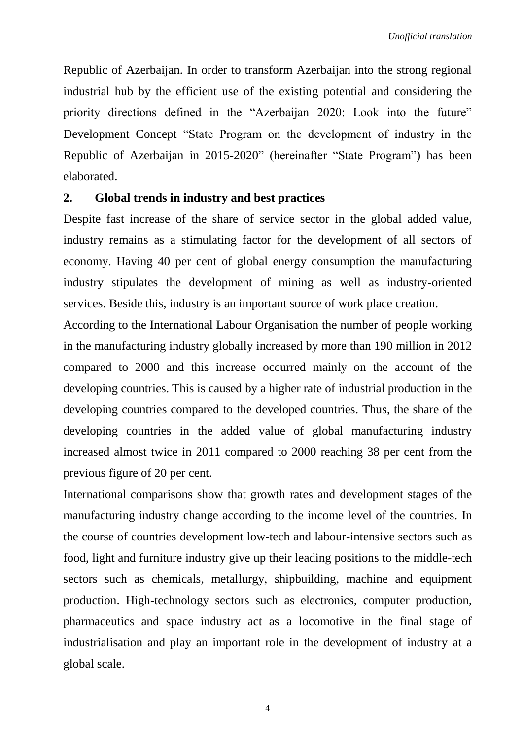Republic of Azerbaijan. In order to transform Azerbaijan into the strong regional industrial hub by the efficient use of the existing potential and considering the priority directions defined in the "Azerbaijan 2020: Look into the future" Development Concept "State Program on the development of industry in the Republic of Azerbaijan in 2015-2020" (hereinafter "State Program") has been elaborated.

#### **2. Global trends in industry and best practices**

Despite fast increase of the share of service sector in the global added value, industry remains as a stimulating factor for the development of all sectors of economy. Having 40 per cent of global energy consumption the manufacturing industry stipulates the development of mining as well as industry-oriented services. Beside this, industry is an important source of work place creation.

According to the International Labour Organisation the number of people working in the manufacturing industry globally increased by more than 190 million in 2012 compared to 2000 and this increase occurred mainly on the account of the developing countries. This is caused by a higher rate of industrial production in the developing countries compared to the developed countries. Thus, the share of the developing countries in the added value of global manufacturing industry increased almost twice in 2011 compared to 2000 reaching 38 per cent from the previous figure of 20 per cent.

International comparisons show that growth rates and development stages of the manufacturing industry change according to the income level of the countries. In the course of countries development low-tech and labour-intensive sectors such as food, light and furniture industry give up their leading positions to the middle-tech sectors such as chemicals, metallurgy, shipbuilding, machine and equipment production. High-technology sectors such as electronics, computer production, pharmaceutics and space industry act as a locomotive in the final stage of industrialisation and play an important role in the development of industry at a global scale.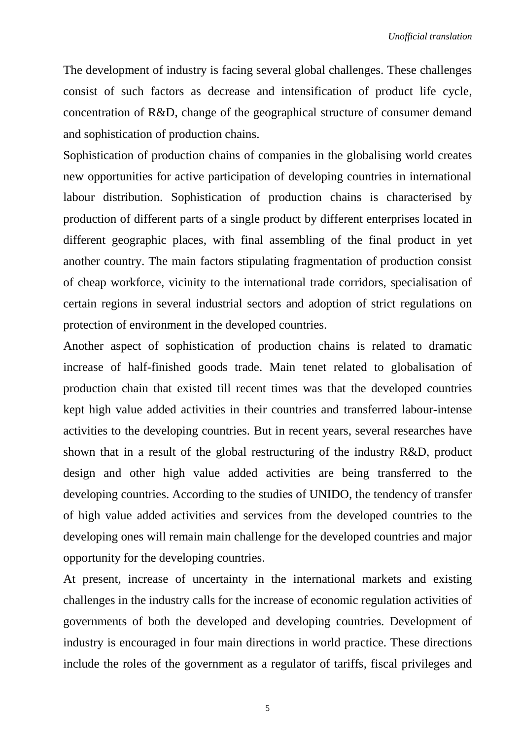The development of industry is facing several global challenges. These challenges consist of such factors as decrease and intensification of product life cycle, concentration of R&D, change of the geographical structure of consumer demand and sophistication of production chains.

Sophistication of production chains of companies in the globalising world creates new opportunities for active participation of developing countries in international labour distribution. Sophistication of production chains is characterised by production of different parts of a single product by different enterprises located in different geographic places, with final assembling of the final product in yet another country. The main factors stipulating fragmentation of production consist of cheap workforce, vicinity to the international trade corridors, specialisation of certain regions in several industrial sectors and adoption of strict regulations on protection of environment in the developed countries.

Another aspect of sophistication of production chains is related to dramatic increase of half-finished goods trade. Main tenet related to globalisation of production chain that existed till recent times was that the developed countries kept high value added activities in their countries and transferred labour-intense activities to the developing countries. But in recent years, several researches have shown that in a result of the global restructuring of the industry R&D, product design and other high value added activities are being transferred to the developing countries. According to the studies of UNIDO, the tendency of transfer of high value added activities and services from the developed countries to the developing ones will remain main challenge for the developed countries and major opportunity for the developing countries.

At present, increase of uncertainty in the international markets and existing challenges in the industry calls for the increase of economic regulation activities of governments of both the developed and developing countries. Development of industry is encouraged in four main directions in world practice. These directions include the roles of the government as a regulator of tariffs, fiscal privileges and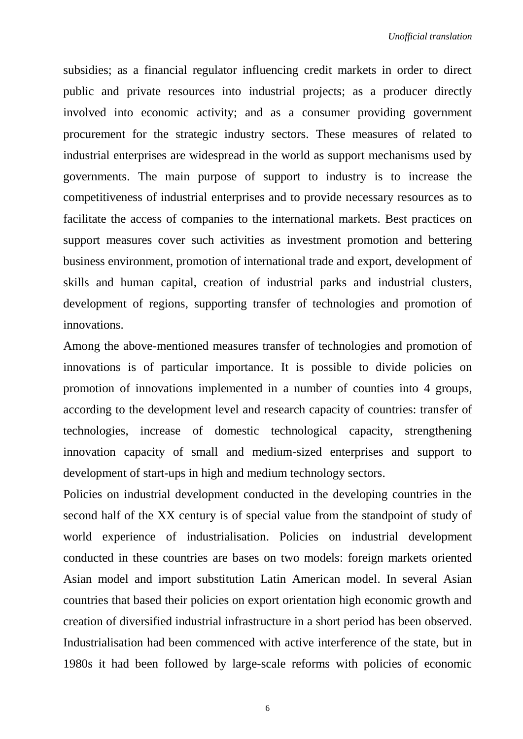subsidies; as a financial regulator influencing credit markets in order to direct public and private resources into industrial projects; as a producer directly involved into economic activity; and as a consumer providing government procurement for the strategic industry sectors. These measures of related to industrial enterprises are widespread in the world as support mechanisms used by governments. The main purpose of support to industry is to increase the competitiveness of industrial enterprises and to provide necessary resources as to facilitate the access of companies to the international markets. Best practices on support measures cover such activities as investment promotion and bettering business environment, promotion of international trade and export, development of skills and human capital, creation of industrial parks and industrial clusters, development of regions, supporting transfer of technologies and promotion of innovations.

Among the above-mentioned measures transfer of technologies and promotion of innovations is of particular importance. It is possible to divide policies on promotion of innovations implemented in a number of counties into 4 groups, according to the development level and research capacity of countries: transfer of technologies, increase of domestic technological capacity, strengthening innovation capacity of small and medium-sized enterprises and support to development of start-ups in high and medium technology sectors.

Policies on industrial development conducted in the developing countries in the second half of the XX century is of special value from the standpoint of study of world experience of industrialisation. Policies on industrial development conducted in these countries are bases on two models: foreign markets oriented Asian model and import substitution Latin American model. In several Asian countries that based their policies on export orientation high economic growth and creation of diversified industrial infrastructure in a short period has been observed. Industrialisation had been commenced with active interference of the state, but in 1980s it had been followed by large-scale reforms with policies of economic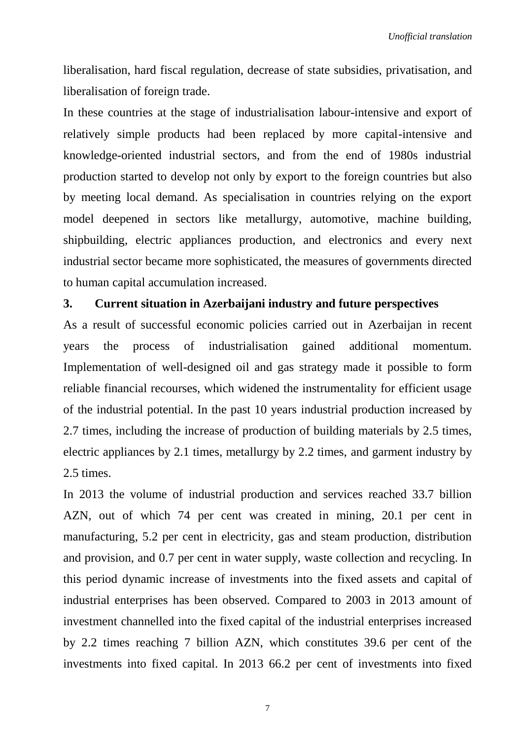liberalisation, hard fiscal regulation, decrease of state subsidies, privatisation, and liberalisation of foreign trade.

In these countries at the stage of industrialisation labour-intensive and export of relatively simple products had been replaced by more capital-intensive and knowledge-oriented industrial sectors, and from the end of 1980s industrial production started to develop not only by export to the foreign countries but also by meeting local demand. As specialisation in countries relying on the export model deepened in sectors like metallurgy, automotive, machine building, shipbuilding, electric appliances production, and electronics and every next industrial sector became more sophisticated, the measures of governments directed to human capital accumulation increased.

#### **3. Current situation in Azerbaijani industry and future perspectives**

As a result of successful economic policies carried out in Azerbaijan in recent years the process of industrialisation gained additional momentum. Implementation of well-designed oil and gas strategy made it possible to form reliable financial recourses, which widened the instrumentality for efficient usage of the industrial potential. In the past 10 years industrial production increased by 2.7 times, including the increase of production of building materials by 2.5 times, electric appliances by 2.1 times, metallurgy by 2.2 times, and garment industry by 2.5 times.

In 2013 the volume of industrial production and services reached 33.7 billion AZN, out of which 74 per cent was created in mining, 20.1 per cent in manufacturing, 5.2 per cent in electricity, gas and steam production, distribution and provision, and 0.7 per cent in water supply, waste collection and recycling. In this period dynamic increase of investments into the fixed assets and capital of industrial enterprises has been observed. Compared to 2003 in 2013 amount of investment channelled into the fixed capital of the industrial enterprises increased by 2.2 times reaching 7 billion AZN, which constitutes 39.6 per cent of the investments into fixed capital. In 2013 66.2 per cent of investments into fixed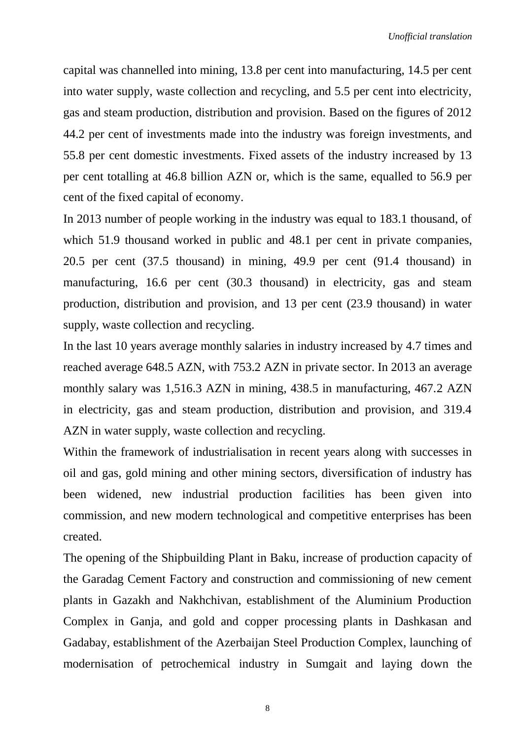capital was channelled into mining, 13.8 per cent into manufacturing, 14.5 per cent into water supply, waste collection and recycling, and 5.5 per cent into electricity, gas and steam production, distribution and provision. Based on the figures of 2012 44.2 per cent of investments made into the industry was foreign investments, and 55.8 per cent domestic investments. Fixed assets of the industry increased by 13 per cent totalling at 46.8 billion AZN or, which is the same, equalled to 56.9 per cent of the fixed capital of economy.

In 2013 number of people working in the industry was equal to 183.1 thousand, of which 51.9 thousand worked in public and 48.1 per cent in private companies, 20.5 per cent (37.5 thousand) in mining, 49.9 per cent (91.4 thousand) in manufacturing, 16.6 per cent (30.3 thousand) in electricity, gas and steam production, distribution and provision, and 13 per cent (23.9 thousand) in water supply, waste collection and recycling.

In the last 10 years average monthly salaries in industry increased by 4.7 times and reached average 648.5 AZN, with 753.2 AZN in private sector. In 2013 an average monthly salary was 1,516.3 AZN in mining, 438.5 in manufacturing, 467.2 AZN in electricity, gas and steam production, distribution and provision, and 319.4 AZN in water supply, waste collection and recycling.

Within the framework of industrialisation in recent years along with successes in oil and gas, gold mining and other mining sectors, diversification of industry has been widened, new industrial production facilities has been given into commission, and new modern technological and competitive enterprises has been created.

The opening of the Shipbuilding Plant in Baku, increase of production capacity of the Garadag Cement Factory and construction and commissioning of new cement plants in Gazakh and Nakhchivan, establishment of the Aluminium Production Complex in Ganja, and gold and copper processing plants in Dashkasan and Gadabay, establishment of the Azerbaijan Steel Production Complex, launching of modernisation of petrochemical industry in Sumgait and laying down the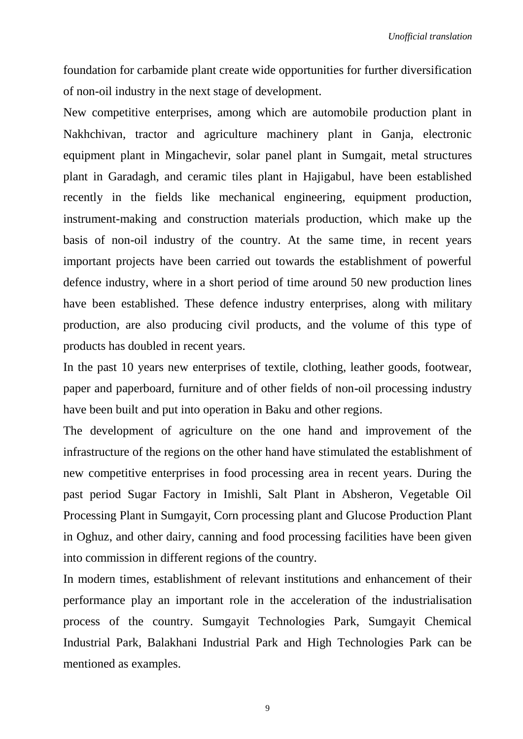foundation for carbamide plant create wide opportunities for further diversification of non-oil industry in the next stage of development.

New competitive enterprises, among which are automobile production plant in Nakhchivan, tractor and agriculture machinery plant in Ganja, electronic equipment plant in Mingachevir, solar panel plant in Sumgait, metal structures plant in Garadagh, and ceramic tiles plant in Hajigabul, have been established recently in the fields like mechanical engineering, equipment production, instrument-making and construction materials production, which make up the basis of non-oil industry of the country. At the same time, in recent years important projects have been carried out towards the establishment of powerful defence industry, where in a short period of time around 50 new production lines have been established. These defence industry enterprises, along with military production, are also producing civil products, and the volume of this type of products has doubled in recent years.

In the past 10 years new enterprises of textile, clothing, leather goods, footwear, paper and paperboard, furniture and of other fields of non-oil processing industry have been built and put into operation in Baku and other regions.

The development of agriculture on the one hand and improvement of the infrastructure of the regions on the other hand have stimulated the establishment of new competitive enterprises in food processing area in recent years. During the past period Sugar Factory in Imishli, Salt Plant in Absheron, Vegetable Oil Processing Plant in Sumgayit, Corn processing plant and Glucose Production Plant in Oghuz, and other dairy, canning and food processing facilities have been given into commission in different regions of the country.

In modern times, establishment of relevant institutions and enhancement of their performance play an important role in the acceleration of the industrialisation process of the country. Sumgayit Technologies Park, Sumgayit Chemical Industrial Park, Balakhani Industrial Park and High Technologies Park can be mentioned as examples.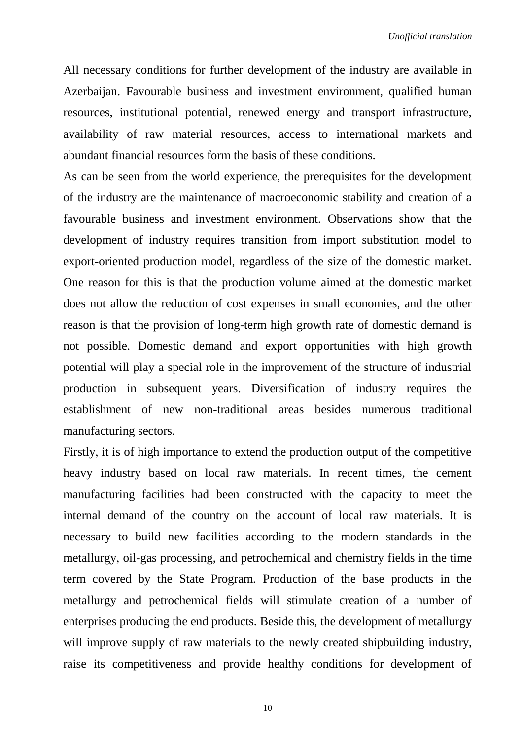All necessary conditions for further development of the industry are available in Azerbaijan. Favourable business and investment environment, qualified human resources, institutional potential, renewed energy and transport infrastructure, availability of raw material resources, access to international markets and abundant financial resources form the basis of these conditions.

As can be seen from the world experience, the prerequisites for the development of the industry are the maintenance of macroeconomic stability and creation of a favourable business and investment environment. Observations show that the development of industry requires transition from import substitution model to export-oriented production model, regardless of the size of the domestic market. One reason for this is that the production volume aimed at the domestic market does not allow the reduction of cost expenses in small economies, and the other reason is that the provision of long-term high growth rate of domestic demand is not possible. Domestic demand and export opportunities with high growth potential will play a special role in the improvement of the structure of industrial production in subsequent years. Diversification of industry requires the establishment of new non-traditional areas besides numerous traditional manufacturing sectors.

Firstly, it is of high importance to extend the production output of the competitive heavy industry based on local raw materials. In recent times, the cement manufacturing facilities had been constructed with the capacity to meet the internal demand of the country on the account of local raw materials. It is necessary to build new facilities according to the modern standards in the metallurgy, oil-gas processing, and petrochemical and chemistry fields in the time term covered by the State Program. Production of the base products in the metallurgy and petrochemical fields will stimulate creation of a number of enterprises producing the end products. Beside this, the development of metallurgy will improve supply of raw materials to the newly created shipbuilding industry, raise its competitiveness and provide healthy conditions for development of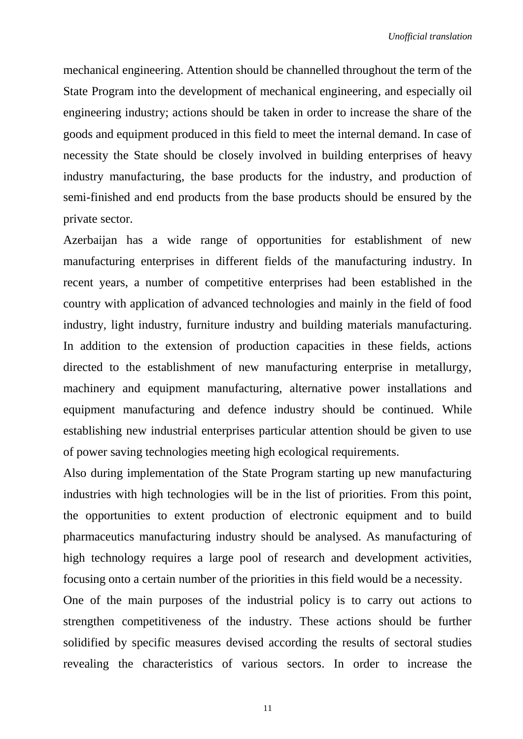mechanical engineering. Attention should be channelled throughout the term of the State Program into the development of mechanical engineering, and especially oil engineering industry; actions should be taken in order to increase the share of the goods and equipment produced in this field to meet the internal demand. In case of necessity the State should be closely involved in building enterprises of heavy industry manufacturing, the base products for the industry, and production of semi-finished and end products from the base products should be ensured by the private sector.

Azerbaijan has a wide range of opportunities for establishment of new manufacturing enterprises in different fields of the manufacturing industry. In recent years, a number of competitive enterprises had been established in the country with application of advanced technologies and mainly in the field of food industry, light industry, furniture industry and building materials manufacturing. In addition to the extension of production capacities in these fields, actions directed to the establishment of new manufacturing enterprise in metallurgy, machinery and equipment manufacturing, alternative power installations and equipment manufacturing and defence industry should be continued. While establishing new industrial enterprises particular attention should be given to use of power saving technologies meeting high ecological requirements.

Also during implementation of the State Program starting up new manufacturing industries with high technologies will be in the list of priorities. From this point, the opportunities to extent production of electronic equipment and to build pharmaceutics manufacturing industry should be analysed. As manufacturing of high technology requires a large pool of research and development activities, focusing onto a certain number of the priorities in this field would be a necessity.

One of the main purposes of the industrial policy is to carry out actions to strengthen competitiveness of the industry. These actions should be further solidified by specific measures devised according the results of sectoral studies revealing the characteristics of various sectors. In order to increase the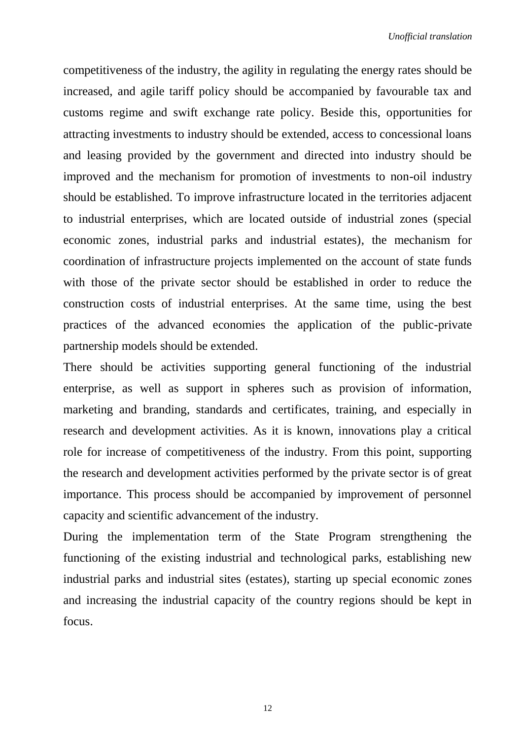competitiveness of the industry, the agility in regulating the energy rates should be increased, and agile tariff policy should be accompanied by favourable tax and customs regime and swift exchange rate policy. Beside this, opportunities for attracting investments to industry should be extended, access to concessional loans and leasing provided by the government and directed into industry should be improved and the mechanism for promotion of investments to non-oil industry should be established. To improve infrastructure located in the territories adjacent to industrial enterprises, which are located outside of industrial zones (special economic zones, industrial parks and industrial estates), the mechanism for coordination of infrastructure projects implemented on the account of state funds with those of the private sector should be established in order to reduce the construction costs of industrial enterprises. At the same time, using the best practices of the advanced economies the application of the public-private partnership models should be extended.

There should be activities supporting general functioning of the industrial enterprise, as well as support in spheres such as provision of information, marketing and branding, standards and certificates, training, and especially in research and development activities. As it is known, innovations play a critical role for increase of competitiveness of the industry. From this point, supporting the research and development activities performed by the private sector is of great importance. This process should be accompanied by improvement of personnel capacity and scientific advancement of the industry.

During the implementation term of the State Program strengthening the functioning of the existing industrial and technological parks, establishing new industrial parks and industrial sites (estates), starting up special economic zones and increasing the industrial capacity of the country regions should be kept in focus.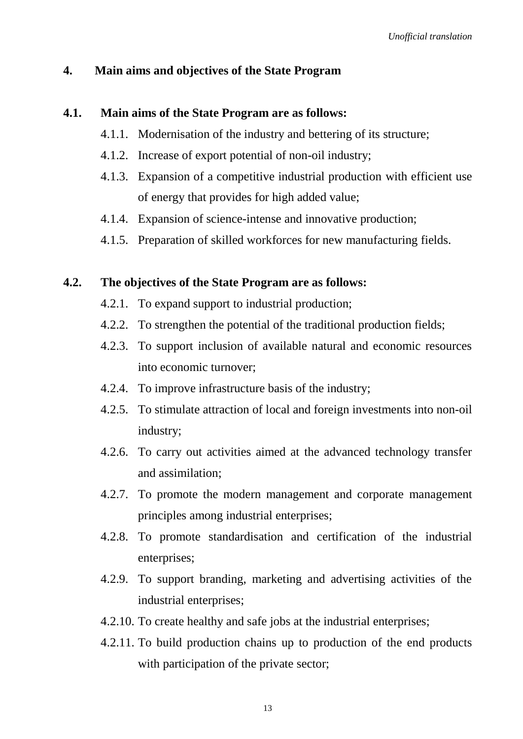### **4. Main aims and objectives of the State Program**

#### **4.1. Main aims of the State Program are as follows:**

- 4.1.1. Modernisation of the industry and bettering of its structure;
- 4.1.2. Increase of export potential of non-oil industry;
- 4.1.3. Expansion of a competitive industrial production with efficient use of energy that provides for high added value;
- 4.1.4. Expansion of science-intense and innovative production;
- 4.1.5. Preparation of skilled workforces for new manufacturing fields.

#### **4.2. The objectives of the State Program are as follows:**

- 4.2.1. To expand support to industrial production;
- 4.2.2. To strengthen the potential of the traditional production fields;
- 4.2.3. To support inclusion of available natural and economic resources into economic turnover;
- 4.2.4. To improve infrastructure basis of the industry;
- 4.2.5. To stimulate attraction of local and foreign investments into non-oil industry;
- 4.2.6. To carry out activities aimed at the advanced technology transfer and assimilation;
- 4.2.7. To promote the modern management and corporate management principles among industrial enterprises;
- 4.2.8. To promote standardisation and certification of the industrial enterprises;
- 4.2.9. To support branding, marketing and advertising activities of the industrial enterprises;
- 4.2.10. To create healthy and safe jobs at the industrial enterprises;
- 4.2.11. To build production chains up to production of the end products with participation of the private sector;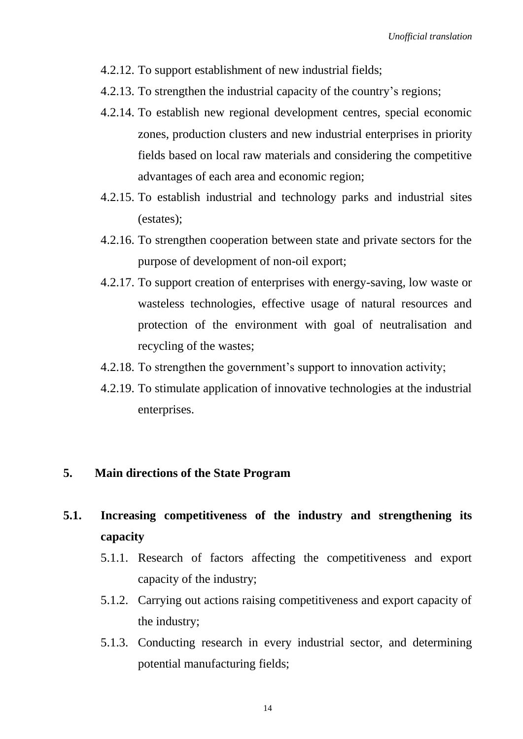- 4.2.12. To support establishment of new industrial fields;
- 4.2.13. To strengthen the industrial capacity of the country's regions;
- 4.2.14. To establish new regional development centres, special economic zones, production clusters and new industrial enterprises in priority fields based on local raw materials and considering the competitive advantages of each area and economic region;
- 4.2.15. To establish industrial and technology parks and industrial sites (estates);
- 4.2.16. To strengthen cooperation between state and private sectors for the purpose of development of non-oil export;
- 4.2.17. To support creation of enterprises with energy-saving, low waste or wasteless technologies, effective usage of natural resources and protection of the environment with goal of neutralisation and recycling of the wastes;
- 4.2.18. To strengthen the government's support to innovation activity;
- 4.2.19. To stimulate application of innovative technologies at the industrial enterprises.

#### **5. Main directions of the State Program**

## **5.1. Increasing competitiveness of the industry and strengthening its capacity**

- 5.1.1. Research of factors affecting the competitiveness and export capacity of the industry;
- 5.1.2. Carrying out actions raising competitiveness and export capacity of the industry;
- 5.1.3. Conducting research in every industrial sector, and determining potential manufacturing fields;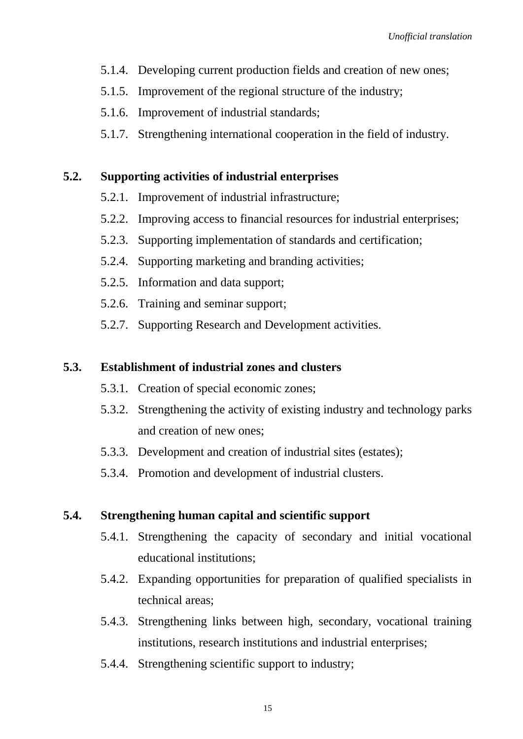- 5.1.4. Developing current production fields and creation of new ones;
- 5.1.5. Improvement of the regional structure of the industry;
- 5.1.6. Improvement of industrial standards;
- 5.1.7. Strengthening international cooperation in the field of industry.

### **5.2. Supporting activities of industrial enterprises**

- 5.2.1. Improvement of industrial infrastructure;
- 5.2.2. Improving access to financial resources for industrial enterprises;
- 5.2.3. Supporting implementation of standards and certification;
- 5.2.4. Supporting marketing and branding activities;
- 5.2.5. Information and data support;
- 5.2.6. Training and seminar support;
- 5.2.7. Supporting Research and Development activities.

#### **5.3. Establishment of industrial zones and clusters**

- 5.3.1. Creation of special economic zones;
- 5.3.2. Strengthening the activity of existing industry and technology parks and creation of new ones;
- 5.3.3. Development and creation of industrial sites (estates);
- 5.3.4. Promotion and development of industrial clusters.

### **5.4. Strengthening human capital and scientific support**

- 5.4.1. Strengthening the capacity of secondary and initial vocational educational institutions;
- 5.4.2. Expanding opportunities for preparation of qualified specialists in technical areas;
- 5.4.3. Strengthening links between high, secondary, vocational training institutions, research institutions and industrial enterprises;
- 5.4.4. Strengthening scientific support to industry;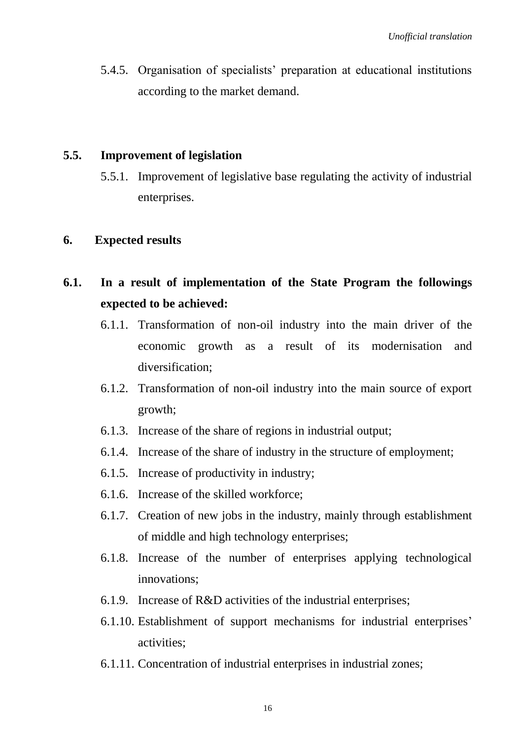5.4.5. Organisation of specialists' preparation at educational institutions according to the market demand.

#### **5.5. Improvement of legislation**

5.5.1. Improvement of legislative base regulating the activity of industrial enterprises.

#### **6. Expected results**

- **6.1. In a result of implementation of the State Program the followings expected to be achieved:**
	- 6.1.1. Transformation of non-oil industry into the main driver of the economic growth as a result of its modernisation and diversification;
	- 6.1.2. Transformation of non-oil industry into the main source of export growth;
	- 6.1.3. Increase of the share of regions in industrial output;
	- 6.1.4. Increase of the share of industry in the structure of employment;
	- 6.1.5. Increase of productivity in industry;
	- 6.1.6. Increase of the skilled workforce;
	- 6.1.7. Creation of new jobs in the industry, mainly through establishment of middle and high technology enterprises;
	- 6.1.8. Increase of the number of enterprises applying technological innovations;
	- 6.1.9. Increase of R&D activities of the industrial enterprises;
	- 6.1.10. Establishment of support mechanisms for industrial enterprises' activities;
	- 6.1.11. Concentration of industrial enterprises in industrial zones;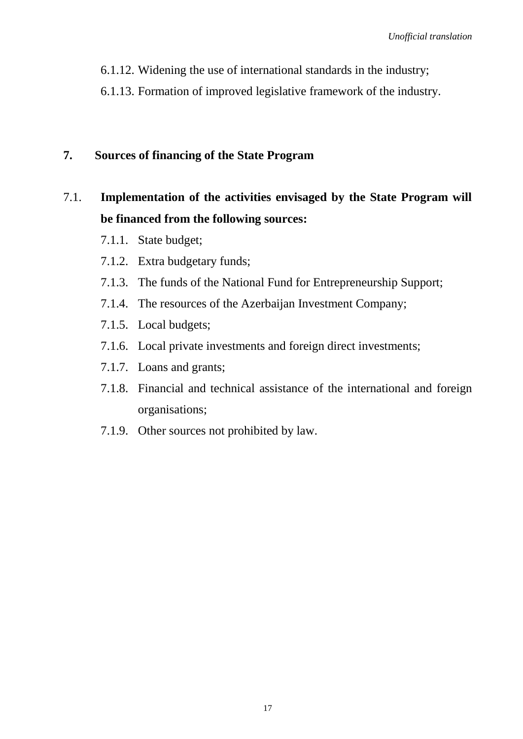- 6.1.12. Widening the use of international standards in the industry;
- 6.1.13. Formation of improved legislative framework of the industry.

### **7. Sources of financing of the State Program**

## 7.1. **Implementation of the activities envisaged by the State Program will be financed from the following sources:**

- 7.1.1. State budget;
- 7.1.2. Extra budgetary funds;
- 7.1.3. The funds of the National Fund for Entrepreneurship Support;
- 7.1.4. The resources of the Azerbaijan Investment Company;
- 7.1.5. Local budgets;
- 7.1.6. Local private investments and foreign direct investments;
- 7.1.7. Loans and grants;
- 7.1.8. Financial and technical assistance of the international and foreign organisations;
- 7.1.9. Other sources not prohibited by law.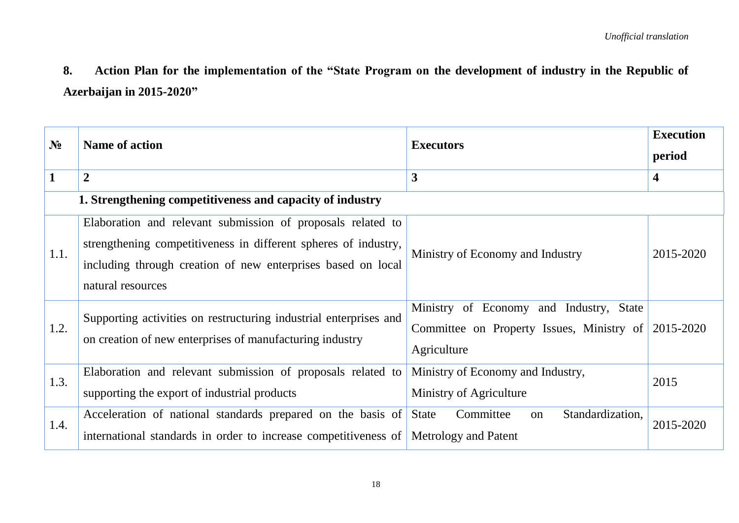**8. Action Plan for the implementation of the "State Program on the development of industry in the Republic of Azerbaijan in 2015-2020"**

| $N_2$                                                     | <b>Name of action</b>                                                                                                                                                                                               | <b>Executors</b>                                                                                    | <b>Execution</b><br>period |
|-----------------------------------------------------------|---------------------------------------------------------------------------------------------------------------------------------------------------------------------------------------------------------------------|-----------------------------------------------------------------------------------------------------|----------------------------|
| $\mathbf{1}$                                              | $\boldsymbol{2}$                                                                                                                                                                                                    | $\mathbf{3}$                                                                                        | 4                          |
| 1. Strengthening competitiveness and capacity of industry |                                                                                                                                                                                                                     |                                                                                                     |                            |
| 1.1.                                                      | Elaboration and relevant submission of proposals related to<br>strengthening competitiveness in different spheres of industry,<br>including through creation of new enterprises based on local<br>natural resources | Ministry of Economy and Industry                                                                    | 2015-2020                  |
| 1.2.                                                      | Supporting activities on restructuring industrial enterprises and<br>on creation of new enterprises of manufacturing industry                                                                                       | Ministry of Economy and Industry, State<br>Committee on Property Issues, Ministry of<br>Agriculture | 2015-2020                  |
| 1.3.                                                      | Elaboration and relevant submission of proposals related to<br>supporting the export of industrial products                                                                                                         | Ministry of Economy and Industry,<br>Ministry of Agriculture                                        | 2015                       |
| 1.4.                                                      | Acceleration of national standards prepared on the basis of State<br>international standards in order to increase competitiveness of Metrology and Patent                                                           | Committee<br>Standardization,<br>on                                                                 | 2015-2020                  |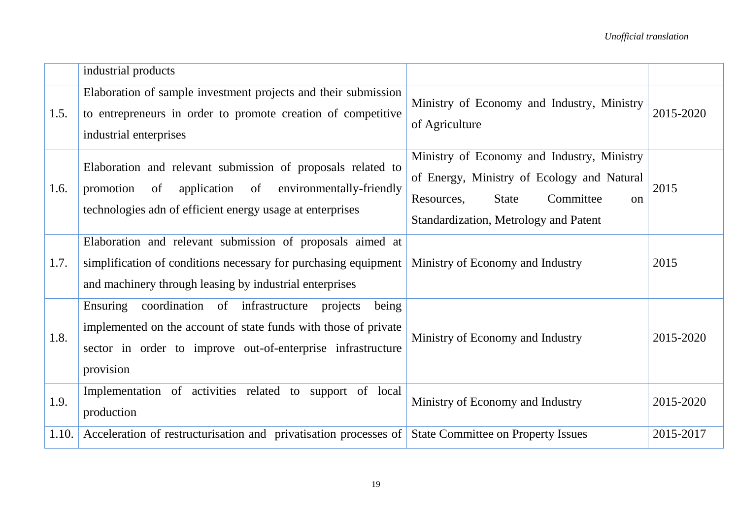|       | industrial products                                                                                                                                                                                         |                                                                                                                                                                                               |           |
|-------|-------------------------------------------------------------------------------------------------------------------------------------------------------------------------------------------------------------|-----------------------------------------------------------------------------------------------------------------------------------------------------------------------------------------------|-----------|
| 1.5.  | Elaboration of sample investment projects and their submission<br>to entrepreneurs in order to promote creation of competitive<br>industrial enterprises                                                    | Ministry of Economy and Industry, Ministry<br>of Agriculture                                                                                                                                  | 2015-2020 |
| 1.6.  | Elaboration and relevant submission of proposals related to<br>promotion<br>application<br>of<br>environmentally-friendly<br>of<br>technologies adn of efficient energy usage at enterprises                | Ministry of Economy and Industry, Ministry<br>of Energy, Ministry of Ecology and Natural<br>Committee<br>Resources,<br><b>State</b><br><sub>on</sub><br>Standardization, Metrology and Patent | 2015      |
| 1.7.  | Elaboration and relevant submission of proposals aimed at<br>simplification of conditions necessary for purchasing equipment<br>and machinery through leasing by industrial enterprises                     | Ministry of Economy and Industry                                                                                                                                                              | 2015      |
| 1.8.  | Ensuring<br>coordination of infrastructure projects<br>being<br>implemented on the account of state funds with those of private<br>sector in order to improve out-of-enterprise infrastructure<br>provision | Ministry of Economy and Industry                                                                                                                                                              | 2015-2020 |
| 1.9.  | Implementation of activities related to support of local<br>production                                                                                                                                      | Ministry of Economy and Industry                                                                                                                                                              | 2015-2020 |
| 1.10. | Acceleration of restructurisation and privatisation processes of State Committee on Property Issues                                                                                                         |                                                                                                                                                                                               | 2015-2017 |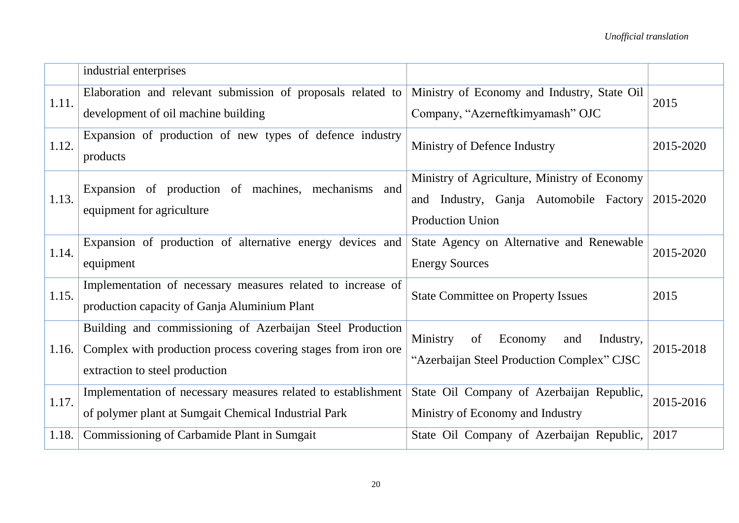|       | industrial enterprises                                               |                                               |           |
|-------|----------------------------------------------------------------------|-----------------------------------------------|-----------|
| 1.11. | Elaboration and relevant submission of proposals related to          | Ministry of Economy and Industry, State Oil   | 2015      |
|       | development of oil machine building                                  | Company, "Azerneftkimyamash" OJC              |           |
| 1.12. | Expansion of production of new types of defence industry<br>products | Ministry of Defence Industry                  | 2015-2020 |
|       | Expansion of production of machines, mechanisms and                  | Ministry of Agriculture, Ministry of Economy  |           |
| 1.13. | equipment for agriculture                                            | and Industry, Ganja Automobile Factory        | 2015-2020 |
|       |                                                                      | <b>Production Union</b>                       |           |
| 1.14. | Expansion of production of alternative energy devices and            | State Agency on Alternative and Renewable     | 2015-2020 |
|       | equipment                                                            | <b>Energy Sources</b>                         |           |
| 1.15. | Implementation of necessary measures related to increase of          | <b>State Committee on Property Issues</b>     | 2015      |
|       | production capacity of Ganja Aluminium Plant                         |                                               |           |
|       | Building and commissioning of Azerbaijan Steel Production            | Ministry<br>of<br>Economy<br>Industry,<br>and |           |
| 1.16. | Complex with production process covering stages from iron ore.       | "Azerbaijan Steel Production Complex" CJSC    | 2015-2018 |
|       | extraction to steel production                                       |                                               |           |
| 1.17. | Implementation of necessary measures related to establishment        | State Oil Company of Azerbaijan Republic,     | 2015-2016 |
|       | of polymer plant at Sumgait Chemical Industrial Park                 | Ministry of Economy and Industry              |           |
| 1.18. | Commissioning of Carbamide Plant in Sumgait                          | State Oil Company of Azerbaijan Republic,     | 2017      |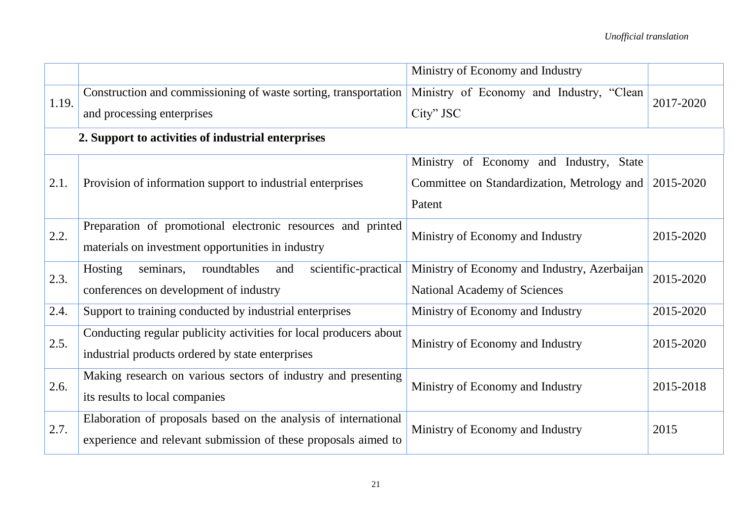|       |                                                                                                                                   | Ministry of Economy and Industry                                             |           |
|-------|-----------------------------------------------------------------------------------------------------------------------------------|------------------------------------------------------------------------------|-----------|
| 1.19. | Construction and commissioning of waste sorting, transportation<br>and processing enterprises                                     | Ministry of Economy and Industry, "Clean<br>City" JSC                        | 2017-2020 |
|       | 2. Support to activities of industrial enterprises                                                                                |                                                                              |           |
|       |                                                                                                                                   | Ministry of Economy and Industry, State                                      |           |
| 2.1.  | Provision of information support to industrial enterprises                                                                        | Committee on Standardization, Metrology and                                  | 2015-2020 |
|       |                                                                                                                                   | Patent                                                                       |           |
| 2.2.  | Preparation of promotional electronic resources and printed<br>materials on investment opportunities in industry                  | Ministry of Economy and Industry                                             | 2015-2020 |
| 2.3.  | Hosting<br>scientific-practical<br>seminars,<br>roundtables<br>and<br>conferences on development of industry                      | Ministry of Economy and Industry, Azerbaijan<br>National Academy of Sciences | 2015-2020 |
| 2.4.  | Support to training conducted by industrial enterprises                                                                           | Ministry of Economy and Industry                                             | 2015-2020 |
| 2.5.  | Conducting regular publicity activities for local producers about<br>industrial products ordered by state enterprises             | Ministry of Economy and Industry                                             | 2015-2020 |
| 2.6.  | Making research on various sectors of industry and presenting<br>its results to local companies                                   | Ministry of Economy and Industry                                             | 2015-2018 |
| 2.7.  | Elaboration of proposals based on the analysis of international<br>experience and relevant submission of these proposals aimed to | Ministry of Economy and Industry                                             | 2015      |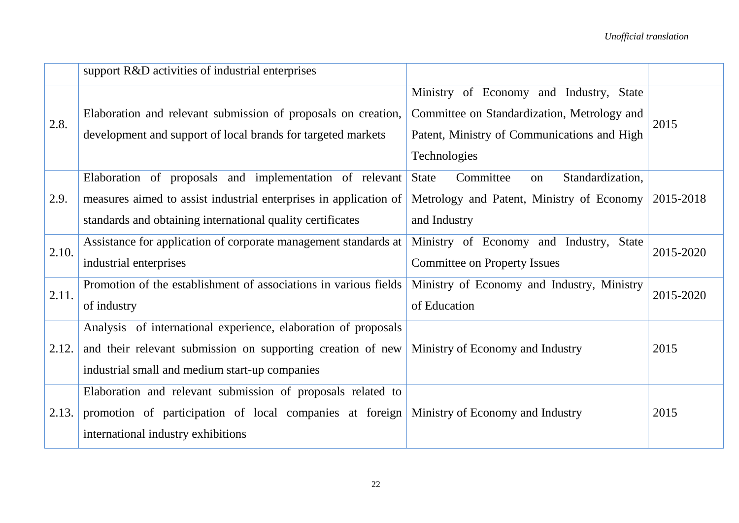|       | support R&D activities of industrial enterprises                  |                                                     |           |
|-------|-------------------------------------------------------------------|-----------------------------------------------------|-----------|
|       |                                                                   | Ministry of Economy and Industry, State             |           |
| 2.8.  | Elaboration and relevant submission of proposals on creation,     | Committee on Standardization, Metrology and         | 2015      |
|       | development and support of local brands for targeted markets      | Patent, Ministry of Communications and High         |           |
|       |                                                                   | Technologies                                        |           |
|       | Elaboration of proposals and implementation of relevant           | Committee<br>Standardization,<br><b>State</b><br>on |           |
| 2.9.  | measures aimed to assist industrial enterprises in application of | Metrology and Patent, Ministry of Economy           | 2015-2018 |
|       | standards and obtaining international quality certificates        | and Industry                                        |           |
| 2.10. | Assistance for application of corporate management standards at   | Ministry of Economy and Industry, State             | 2015-2020 |
|       | industrial enterprises                                            | <b>Committee on Property Issues</b>                 |           |
| 2.11. | Promotion of the establishment of associations in various fields  | Ministry of Economy and Industry, Ministry          | 2015-2020 |
|       | of industry                                                       | of Education                                        |           |
|       | Analysis of international experience, elaboration of proposals    |                                                     |           |
| 2.12. | and their relevant submission on supporting creation of new       | Ministry of Economy and Industry                    | 2015      |
|       | industrial small and medium start-up companies                    |                                                     |           |
|       | Elaboration and relevant submission of proposals related to       |                                                     |           |
| 2.13. | promotion of participation of local companies at foreign          | Ministry of Economy and Industry                    | 2015      |
|       | international industry exhibitions                                |                                                     |           |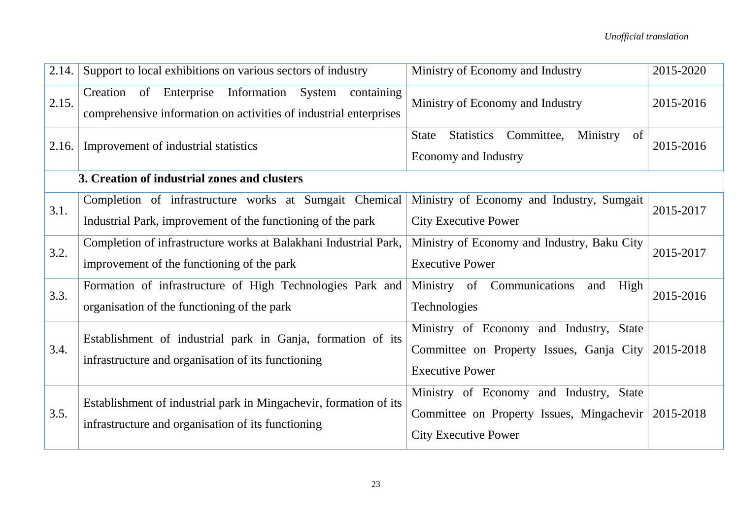| 2.14. | Support to local exhibitions on various sectors of industry                                                                        | Ministry of Economy and Industry                                                                                    | 2015-2020 |
|-------|------------------------------------------------------------------------------------------------------------------------------------|---------------------------------------------------------------------------------------------------------------------|-----------|
| 2.15. | Creation of Enterprise<br>Information<br>System<br>containing<br>comprehensive information on activities of industrial enterprises | Ministry of Economy and Industry                                                                                    | 2015-2016 |
| 2.16. | Improvement of industrial statistics                                                                                               | Committee,<br>Ministry<br><b>Statistics</b><br>of<br><b>State</b><br><b>Economy and Industry</b>                    | 2015-2016 |
|       | 3. Creation of industrial zones and clusters                                                                                       |                                                                                                                     |           |
| 3.1.  | Completion of infrastructure works at Sumgait Chemical<br>Industrial Park, improvement of the functioning of the park              | Ministry of Economy and Industry, Sumgait<br><b>City Executive Power</b>                                            | 2015-2017 |
| 3.2.  | Completion of infrastructure works at Balakhani Industrial Park,<br>improvement of the functioning of the park                     | Ministry of Economy and Industry, Baku City<br><b>Executive Power</b>                                               | 2015-2017 |
| 3.3.  | Formation of infrastructure of High Technologies Park and<br>organisation of the functioning of the park                           | Ministry of Communications<br>High<br>and<br>Technologies                                                           | 2015-2016 |
| 3.4.  | Establishment of industrial park in Ganja, formation of its<br>infrastructure and organisation of its functioning                  | Ministry of Economy and Industry, State<br>Committee on Property Issues, Ganja City<br><b>Executive Power</b>       | 2015-2018 |
| 3.5.  | Establishment of industrial park in Mingachevir, formation of its<br>infrastructure and organisation of its functioning            | Ministry of Economy and Industry, State<br>Committee on Property Issues, Mingachevir<br><b>City Executive Power</b> | 2015-2018 |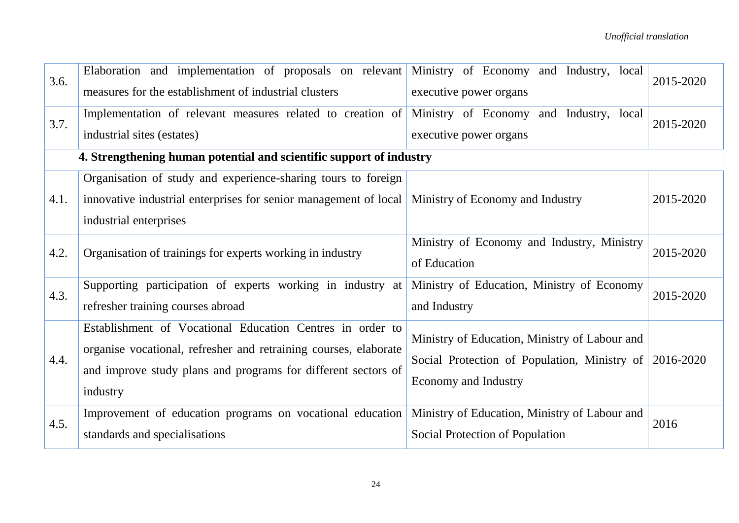| 3.6. | Elaboration and implementation of proposals on relevant Ministry of Economy and Industry, local<br>measures for the establishment of industrial clusters | executive power organs                                            | 2015-2020 |
|------|----------------------------------------------------------------------------------------------------------------------------------------------------------|-------------------------------------------------------------------|-----------|
| 3.7. | Implementation of relevant measures related to creation of<br>industrial sites (estates)                                                                 | Ministry of Economy and Industry, local<br>executive power organs | 2015-2020 |
|      | 4. Strengthening human potential and scientific support of industry                                                                                      |                                                                   |           |
|      | Organisation of study and experience-sharing tours to foreign                                                                                            |                                                                   |           |
| 4.1. | innovative industrial enterprises for senior management of local   Ministry of Economy and Industry                                                      |                                                                   | 2015-2020 |
|      | industrial enterprises                                                                                                                                   |                                                                   |           |
| 4.2. | Organisation of trainings for experts working in industry                                                                                                | Ministry of Economy and Industry, Ministry                        | 2015-2020 |
|      |                                                                                                                                                          | of Education                                                      |           |
| 4.3. | Supporting participation of experts working in industry at                                                                                               | Ministry of Education, Ministry of Economy                        | 2015-2020 |
|      | refresher training courses abroad                                                                                                                        | and Industry                                                      |           |
|      | Establishment of Vocational Education Centres in order to                                                                                                | Ministry of Education, Ministry of Labour and                     |           |
| 4.4. | organise vocational, refresher and retraining courses, elaborate                                                                                         | Social Protection of Population, Ministry of                      | 2016-2020 |
|      | and improve study plans and programs for different sectors of                                                                                            | <b>Economy and Industry</b>                                       |           |
|      | industry                                                                                                                                                 |                                                                   |           |
| 4.5. | Improvement of education programs on vocational education                                                                                                | Ministry of Education, Ministry of Labour and                     | 2016      |
|      | standards and specialisations                                                                                                                            | Social Protection of Population                                   |           |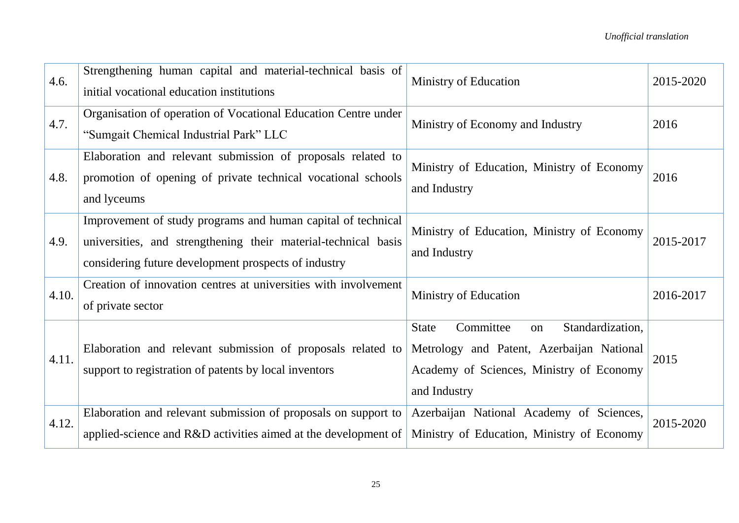| 4.6.  | Strengthening human capital and material-technical basis of<br>initial vocational education institutions                                                                               | Ministry of Education                                                                                                                                        | 2015-2020 |
|-------|----------------------------------------------------------------------------------------------------------------------------------------------------------------------------------------|--------------------------------------------------------------------------------------------------------------------------------------------------------------|-----------|
| 4.7.  | Organisation of operation of Vocational Education Centre under<br>"Sumgait Chemical Industrial Park" LLC                                                                               | Ministry of Economy and Industry                                                                                                                             | 2016      |
| 4.8.  | Elaboration and relevant submission of proposals related to<br>promotion of opening of private technical vocational schools<br>and lyceums                                             | Ministry of Education, Ministry of Economy<br>and Industry                                                                                                   | 2016      |
| 4.9.  | Improvement of study programs and human capital of technical<br>universities, and strengthening their material-technical basis<br>considering future development prospects of industry | Ministry of Education, Ministry of Economy<br>and Industry                                                                                                   | 2015-2017 |
| 4.10. | Creation of innovation centres at universities with involvement<br>of private sector                                                                                                   | Ministry of Education                                                                                                                                        | 2016-2017 |
| 4.11. | Elaboration and relevant submission of proposals related to<br>support to registration of patents by local inventors                                                                   | Committee<br>Standardization,<br><b>State</b><br>on<br>Metrology and Patent, Azerbaijan National<br>Academy of Sciences, Ministry of Economy<br>and Industry | 2015      |
| 4.12. | Elaboration and relevant submission of proposals on support to<br>applied-science and R&D activities aimed at the development of                                                       | Azerbaijan National Academy of Sciences,<br>Ministry of Education, Ministry of Economy                                                                       | 2015-2020 |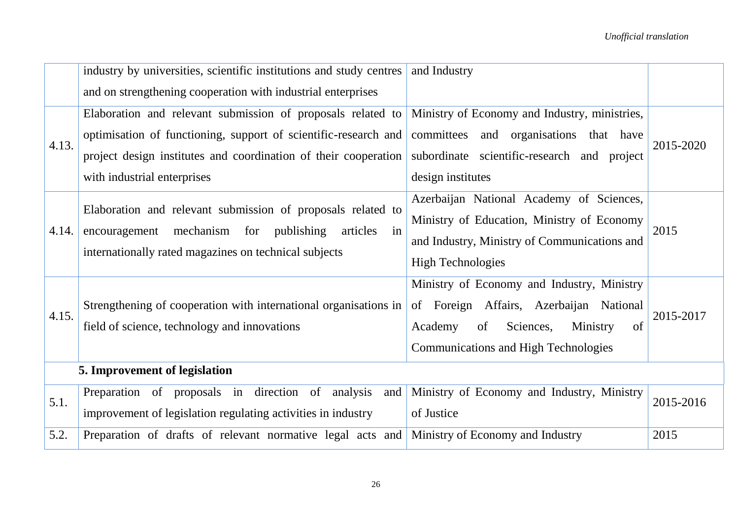|       | industry by universities, scientific institutions and study centres                                                     | and Industry                                  |           |
|-------|-------------------------------------------------------------------------------------------------------------------------|-----------------------------------------------|-----------|
|       | and on strengthening cooperation with industrial enterprises                                                            |                                               |           |
|       | Elaboration and relevant submission of proposals related to                                                             | Ministry of Economy and Industry, ministries, |           |
| 4.13. | optimisation of functioning, support of scientific-research and                                                         | committees and organisations that have        | 2015-2020 |
|       | project design institutes and coordination of their cooperation                                                         | subordinate scientific-research and project   |           |
|       | with industrial enterprises                                                                                             | design institutes                             |           |
|       |                                                                                                                         | Azerbaijan National Academy of Sciences,      |           |
| 4.14. | Elaboration and relevant submission of proposals related to<br>encouragement mechanism for publishing<br>in<br>articles | Ministry of Education, Ministry of Economy    | 2015      |
|       |                                                                                                                         | and Industry, Ministry of Communications and  |           |
|       | internationally rated magazines on technical subjects                                                                   | <b>High Technologies</b>                      |           |
|       |                                                                                                                         | Ministry of Economy and Industry, Ministry    |           |
|       | Strengthening of cooperation with international organisations in                                                        | of Foreign Affairs, Azerbaijan National       | 2015-2017 |
| 4.15. | field of science, technology and innovations                                                                            | Sciences,<br>Ministry<br>Academy<br>of<br>of  |           |
|       |                                                                                                                         | <b>Communications and High Technologies</b>   |           |
|       | 5. Improvement of legislation                                                                                           |                                               |           |
| 5.1.  | Preparation of proposals in direction of analysis<br>and                                                                | Ministry of Economy and Industry, Ministry    | 2015-2016 |
|       | improvement of legislation regulating activities in industry                                                            | of Justice                                    |           |
| 5.2.  | Preparation of drafts of relevant normative legal acts and                                                              | Ministry of Economy and Industry              | 2015      |